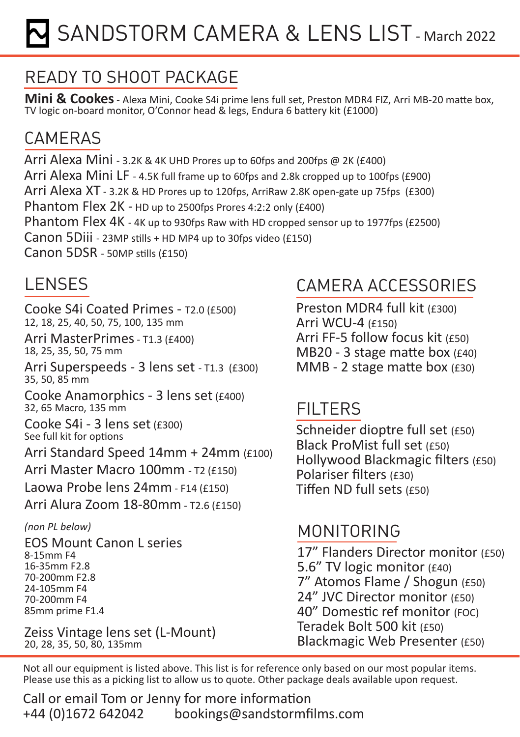# SANDSTORM CAMERA & LENS LIST - March 2022

# READY TO SHOOT PACKAGE

**Mini & Cookes** - Alexa Mini, Cooke S4i prime lens full set, Preston MDR4 FIZ, Arri MB-20 matte box, TV logic on-board monitor, O'Connor head & legs, Endura 6 battery kit (£1000)

#### **CAMERAS**

Arri Alexa Mini - 3.2K & 4K UHD Prores up to 60fps and 200fps @ 2K (£400) Arri Alexa Mini LF - 4.5K full frame up to 60fps and 2.8k cropped up to 100fps (£900) Arri Alexa XT - 3.2K & HD Prores up to 120fps, ArriRaw 2.8K open-gate up 75fps (£300) Phantom Flex 2K - HD up to 2500fps Prores 4:2:2 only (£400) Phantom Flex 4K - 4K up to 930fps Raw with HD cropped sensor up to 1977fps (£2500) Canon 5Diii - 23MP stills + HD MP4 up to 30fps video (£150) Canon 5DSR - 50MP stills (£150)

### LENSES

Cooke S4i Coated Primes - T2.0 (£500) 12, 18, 25, 40, 50, 75, 100, 135 mm

Arri MasterPrimes - T1.3 (£400) 18, 25, 35, 50, 75 mm

Arri Superspeeds - 3 lens set - T1.3 (£300) 35, 50, 85 mm

Cooke Anamorphics - 3 lens set (£400) 32, 65 Macro, 135 mm

Cooke S4i - 3 lens set (£300) See full kit for options

Arri Standard Speed 14mm + 24mm (£100)

Arri Master Macro 100mm - T2 (£150)

Laowa Probe lens 24mm - F14 (£150)

Arri Alura Zoom 18-80mm - T2.6 (£150)

*(non PL below)*

EOS Mount Canon L series 8-15mm F4 16-35mm F2.8 70-200mm F2.8 24-105mm F4 70-200mm F4 85mm prime F1.4

Zeiss Vintage lens set (L-Mount) 20, 28, 35, 50, 80, 135mm

#### CAMERA ACCESSORIES

Preston MDR4 full kit (£300) Arri WCU-4 (£150) Arri FF-5 follow focus kit (£50) MB20 - 3 stage matte box (£40) MMB - 2 stage matte box (£30)

#### FILTERS

Schneider dioptre full set (£50) Black ProMist full set (£50) Hollywood Blackmagic filters (£50) Polariser filters (£30) Tiffen ND full sets (£50)

#### MONITORING

17" Flanders Director monitor (£50) 5.6" TV logic monitor (£40) 7" Atomos Flame / Shogun (£50) 24" JVC Director monitor (£50) 40" Domestic ref monitor (FOC) Teradek Bolt 500 kit (£50) Blackmagic Web Presenter (£50)

Not all our equipment is listed above. This list is for reference only based on our most popular items. Please use this as a picking list to allow us to quote. Other package deals available upon request.

Call or email Tom or Jenny for more information +44 (0)1672 642042 bookings@sandstormfilms.com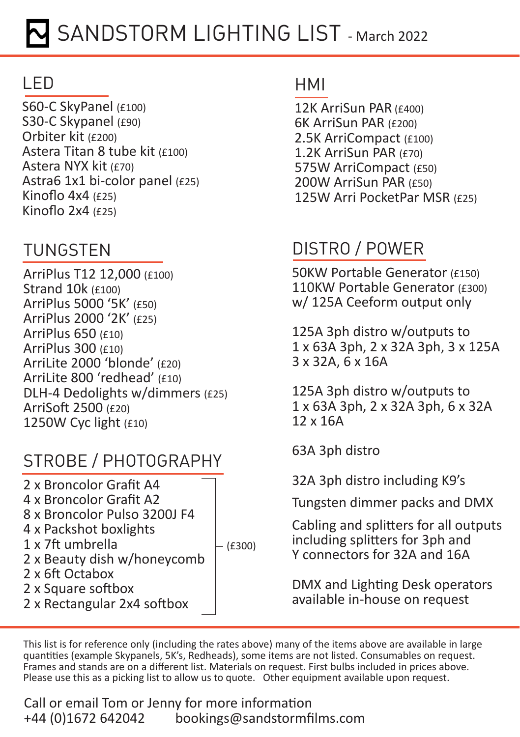# LED

S60-C SkyPanel (£100) S30-C Skypanel (£90) Orbiter kit (£200) Astera Titan 8 tube kit (£100) Astera NYX kit (£70) Astra6 1x1 bi-color panel (£25) Kinoflo 4x4 (£25) Kinoflo 2x4 (£25)

# TUNGSTEN

ArriPlus T12 12,000 (£100) Strand 10k (£100) ArriPlus 5000 '5K' (£50) ArriPlus 2000 '2K' (£25) ArriPlus 650 (£10) ArriPlus 300 (£10) ArriLite 2000 'blonde' (£20) ArriLite 800 'redhead' (£10) DLH-4 Dedolights w/dimmers (£25) ArriSoft 2500 (£20) 1250W Cyc light (£10)

## STROBE / PHOTOGRAPHY

2 x Broncolor Grafit A4 4 x Broncolor Grafit A2 8 x Broncolor Pulso 3200J F4 4 x Packshot boxlights 1 x 7ft umbrella 2 x Beauty dish w/honeycomb 2 x 6ft Octabox 2 x Square softbox 2 x Rectangular 2x4 softbox  $-(£300)$ 

#### HMI

12K ArriSun PAR (£400) 6K ArriSun PAR (£200) 2.5K ArriCompact (£100) 1.2K ArriSun PAR (£70) 575W ArriCompact (£50) 200W ArriSun PAR (£50) 125W Arri PocketPar MSR (£25)

# DISTRO / POWER

50KW Portable Generator (£150) 110KW Portable Generator (£300) w/ 125A Ceeform output only

125A 3ph distro w/outputs to 1 x 63A 3ph, 2 x 32A 3ph, 3 x 125A 3 x 32A, 6 x 16A

125A 3ph distro w/outputs to 1 x 63A 3ph, 2 x 32A 3ph, 6 x 32A 12 x 16A

63A 3ph distro

32A 3ph distro including K9's

Tungsten dimmer packs and DMX

Cabling and splitters for all outputs including splitters for 3ph and Y connectors for 32A and 16A

DMX and Lighting Desk operators available in-house on request

This list is for reference only (including the rates above) many of the items above are available in large quantities (example Skypanels, 5K's, Redheads), some items are not listed. Consumables on request. Frames and stands are on a different list. Materials on request. First bulbs included in prices above. Please use this as a picking list to allow us to quote. Other equipment available upon request.

Call or email Tom or Jenny for more information<br>+44 (0)1672 642042 bookings@sandstormfi +44 (0)1672 642042 bookings@sandstormfilms.com